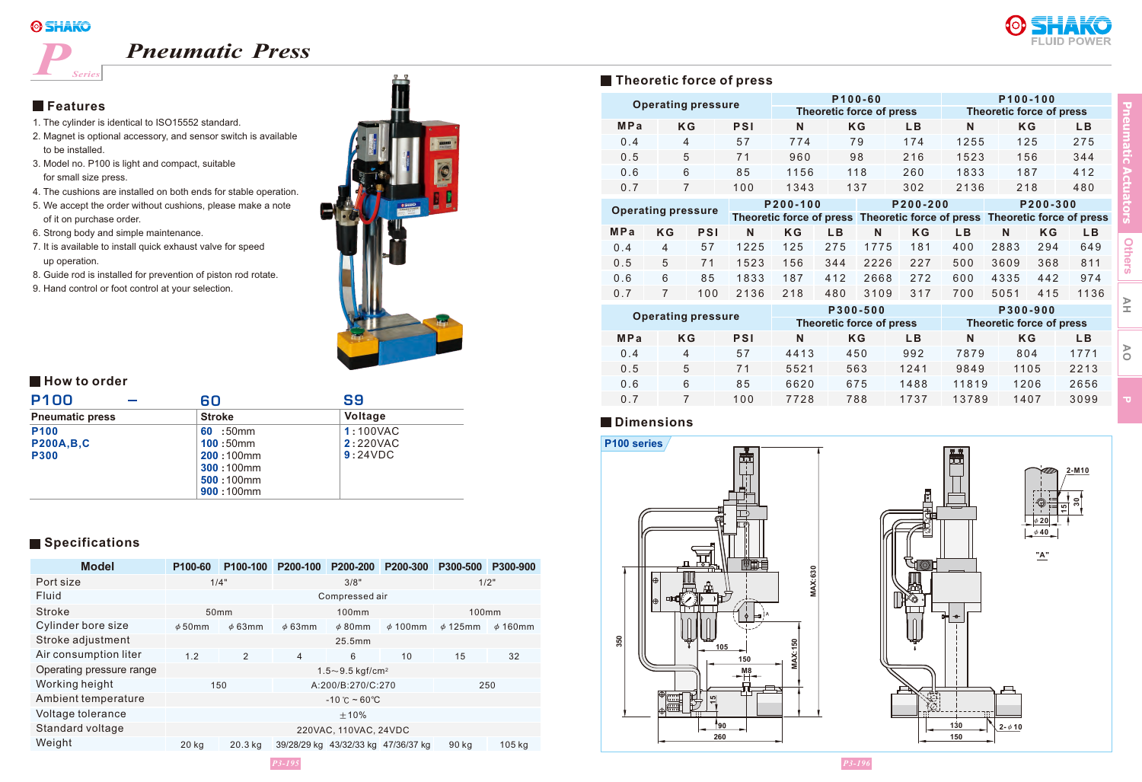# *P*

# *Pneumatic Press*





*Series*

- 1. The cylinder is identical to ISO15552 standard.
- 2. Magnet is optional accessory, and sensor switch is available to be installed.
- 3. Model no. P100 is light and compact, suitable for small size press.
- 4. The cushions are installed on both ends for stable operation.
- 5. We accept the order without cushions, please make a note of it on purchase order.
- 6. Strong body and simple maintenance.
- 7. It is available to install quick exhaust valve for speed up operation.
- 8. Guide rod is installed for prevention of piston rod rotate.
- 9. Hand control or foot control at your selection.



### **How to order**

| <b>P100</b>                                         | 60                                                                             | S9                              |  |  |
|-----------------------------------------------------|--------------------------------------------------------------------------------|---------------------------------|--|--|
| <b>Pneumatic press</b>                              | <b>Stroke</b>                                                                  | Voltage                         |  |  |
| P <sub>100</sub><br><b>P200A,B,C</b><br><b>P300</b> | 60 :50 $mm$<br>100:50mm<br>$200:100$ mm<br>300:100mm<br>500:100mm<br>900:100mm | 1:100VAC<br>2:220VAC<br>9:24VDC |  |  |

### **Specifications**

| <b>Model</b>             | P <sub>100-60</sub>               | P <sub>100-100</sub> | P <sub>200</sub> -100 | P200-200                            | P200-300     | P300-500     | P300-900     |
|--------------------------|-----------------------------------|----------------------|-----------------------|-------------------------------------|--------------|--------------|--------------|
| Port size                | 1/4"                              |                      | 3/8"                  |                                     | 1/2"         |              |              |
| Fluid                    | Compressed air                    |                      |                       |                                     |              |              |              |
| Stroke                   | 50 <sub>mm</sub>                  |                      | 100mm                 |                                     | 100mm        |              |              |
| Cylinder bore size       | $\phi$ 50mm                       | $\phi$ 63mm          | $\phi$ 63mm           | $\phi$ 80mm                         | $\phi$ 100mm | $\phi$ 125mm | $\phi$ 160mm |
| Stroke adjustment        | 25.5mm                            |                      |                       |                                     |              |              |              |
| Air consumption liter    | 1.2                               | 2                    | 4                     | 6                                   | 10           | 15           | 32           |
| Operating pressure range | $1.5 - 9.5$ kgf/cm <sup>2</sup>   |                      |                       |                                     |              |              |              |
| Working height           | 150                               |                      | A:200/B:270/C:270     |                                     | 250          |              |              |
| Ambient temperature      | $-10^{\circ}$ C ~ 60 $^{\circ}$ C |                      |                       |                                     |              |              |              |
| Voltage tolerance        | ±10%                              |                      |                       |                                     |              |              |              |
| Standard voltage         | 220VAC, 110VAC, 24VDC             |                      |                       |                                     |              |              |              |
| Weight                   | 20 kg                             | 20.3 kg              |                       | 39/28/29 kg 43/32/33 kg 47/36/37 kg |              | 90 kg        | 105 kg       |

### **P100-60 P100-100 M P a**  $0.4$ 0 . 5 0 . 6 0 . 7 K G PSI N K G L B N K G L B 4 5 6 7 5 7 7 1 8 5 1 0 0 7 7 4 9 6 0 11 5 6 1 3 4 3 7 9 9 8 11 8 1 3 7 1 7 4 2 1 6 2 6 0 3 0 2 1 2 5 5 1 5 2 3 1 8 3 3 2 1 3 6 1 2 5 1 5 6 1 8 7 2 1 8 2 7 5 3 4 4 4 1 2 4 8 0 **P 2 0 0 - 1 0 0 P 2 0 0 - 2 0 0 P 2 0 0 - 3 0 0** M P a K G P SI N K G L B N K G L B N K G L B  $0.4$ 0 . 5 0 . 6 0 . 7 4 5 6 7 5 7 7 1 8 5 1 0 0 1 2 2 5 1 5 2 3 1 8 3 3 2 1 3 6 1 2 5 1 5 6 1 8 7 2 1 8 2 7 5 3 4 4 4 1 2 4 8 0 1 7 7 5 2 2 2 6 2 6 6 8 3 1 0 9 1 8 1 2 2 7 2 7 2 3 1 7 2 8 8 3 3 6 0 9 4 3 3 5 5 0 5 1 4 0 0 5 0 0 6 0 0 7 0 0 2 9 4 3 6 8 4 4 2 4 1 5 6 4 9 8 11 9 7 4 11 3 6 **P 3 0 0 - 5 0 0 P 3 0 0 - 9 0 0 Operating pressure Theoretic force of press Theoretic force of press Theoretic force of pressure**<br>**Theoretic force of press Theoretic force of press Theoretic force of press**

| <b>Operating pressure</b> |                | <b>P300-500</b>                 |      | <b>P300-900</b> |                                 |       |      |      |
|---------------------------|----------------|---------------------------------|------|-----------------|---------------------------------|-------|------|------|
|                           |                | <b>Theoretic force of press</b> |      |                 | <b>Theoretic force of press</b> |       |      |      |
| <b>MPa</b>                | <b>KG</b>      | <b>PSI</b>                      | N    | K G             | LВ                              | N     | K G  | LВ   |
| 0.4                       | $\overline{4}$ | 57                              | 4413 | 450             | 992                             | 7879  | 804  | 1771 |
| 0.5                       | 5              | 71                              | 5521 | 563             | 1241                            | 9849  | 1105 | 2213 |
| 0.6                       | 6              | 85                              | 6620 | 675             | 1488                            | 11819 | 1206 | 2656 |
| 0.7                       |                | 100                             | 7728 | 788             | 1737                            | 13789 | 1407 | 3099 |

### **Dimensions**





**AH**

**P**

**AO**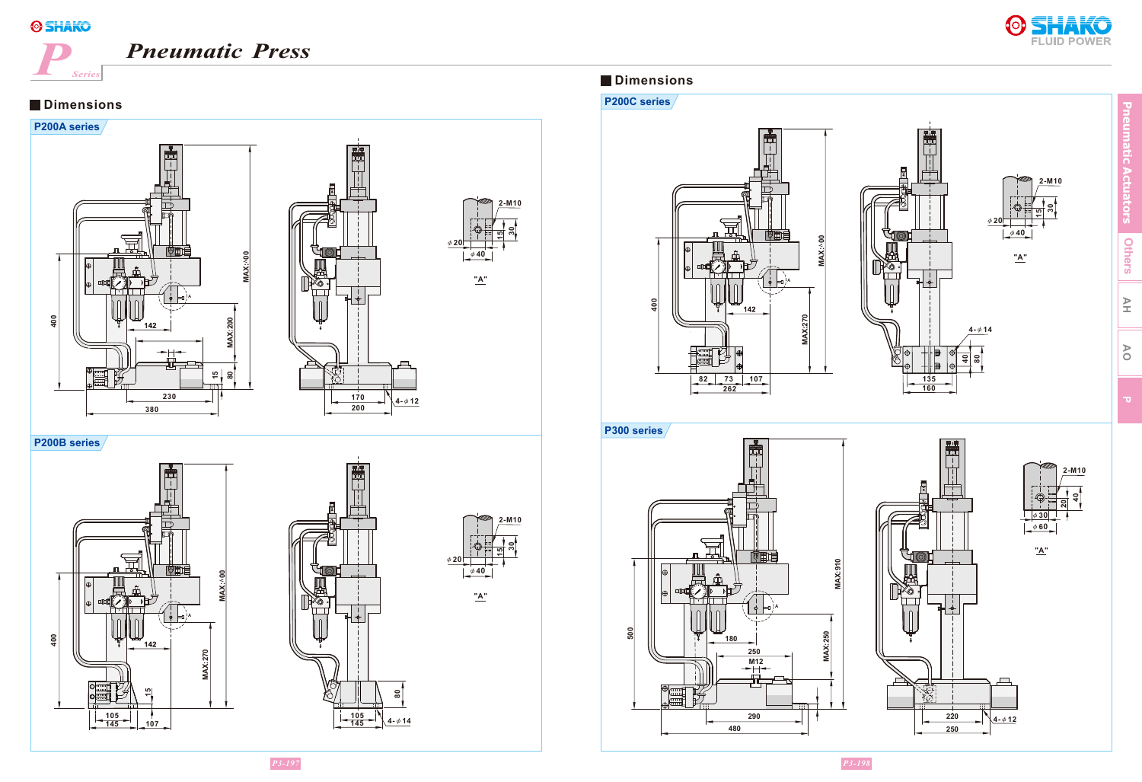

## *Pneumatic Press*



**"A"**

φ **4 0**

**30 15**

**"A"**

**40**

**2-M10**

**2-M10**

**4-** φ**14**

φ **2 0**

**40 80**



**P200C series**





**Pneumatic Actuators Others**

> **AH AO**





**"A"**

φ **4 0**

**15 30**

**2-M10**

<u>ສ</u>

**2-M10**

**"A"**

**250**

**4-** φ**12**